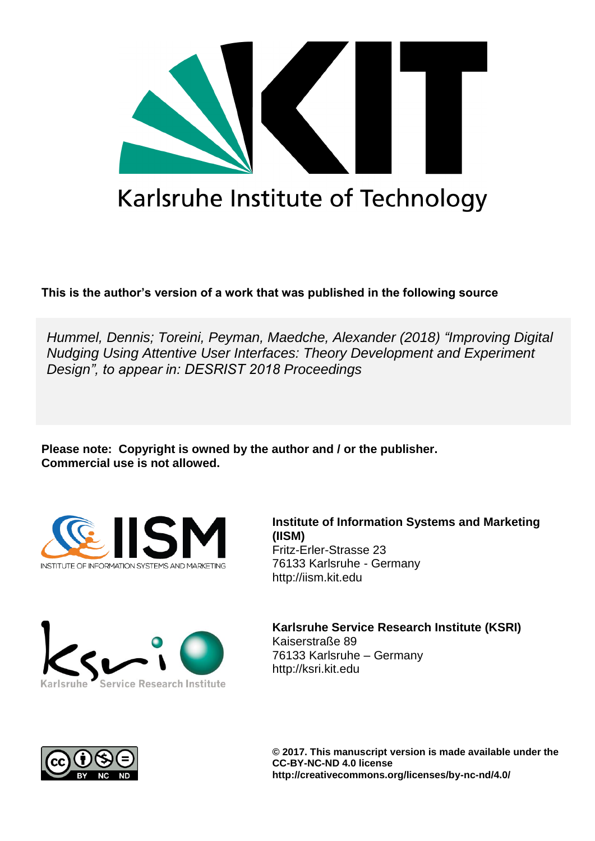

# Karlsruhe Institute of Technology

**This is the author's version of a work that was published in the following source**

*Hummel, Dennis; Toreini, Peyman, Maedche, Alexander (2018) "Improving Digital Nudging Using Attentive User Interfaces: Theory Development and Experiment Design", to appear in: DESRIST 2018 Proceedings* 

**Please note: Copyright is owned by the author and / or the publisher. Commercial use is not allowed.**





**Institute of Information Systems and Marketing (IISM)** Fritz-Erler-Strasse 23 76133 Karlsruhe - Germany [http://iism.kit.edu](http://iism.kit.edu/)

**Karlsruhe Service Research Institute (KSRI)** Kaiserstraße 89 76133 Karlsruhe – Germany [http://ksri.kit.edu](http://ksri.kit.edu/)



**© 2017. This manuscript version is made available under the CC-BY-NC-ND 4.0 license http://creativecommons.org/licenses/by-nc-nd/4.0/**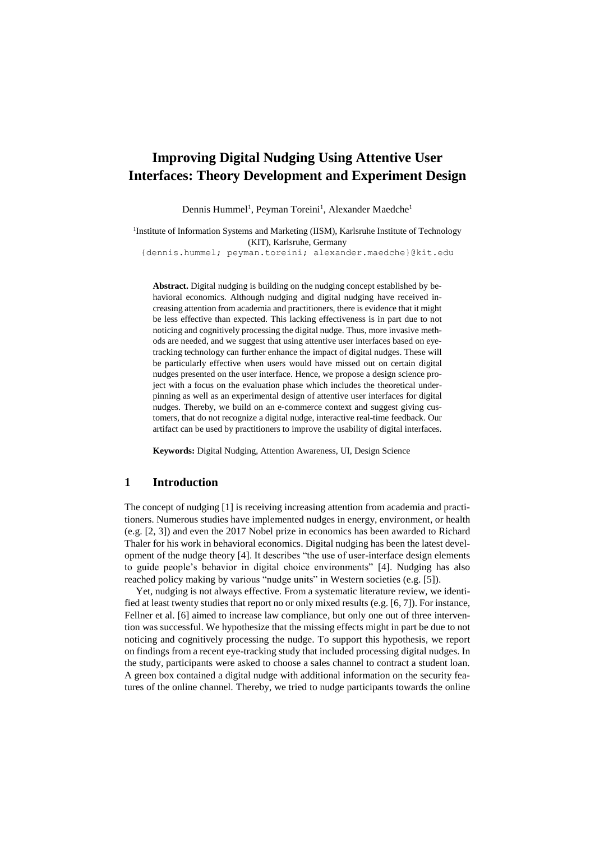# **Improving Digital Nudging Using Attentive User Interfaces: Theory Development and Experiment Design**

Dennis Hummel<sup>1</sup>, Peyman Toreini<sup>1</sup>, Alexander Maedche<sup>1</sup>

<sup>1</sup>Institute of Information Systems and Marketing (IISM), Karlsruhe Institute of Technology (KIT), Karlsruhe, Germany

{dennis.hummel; peyman.toreini; alexander.maedche}@kit.edu

**Abstract.** Digital nudging is building on the nudging concept established by behavioral economics. Although nudging and digital nudging have received increasing attention from academia and practitioners, there is evidence that it might be less effective than expected. This lacking effectiveness is in part due to not noticing and cognitively processing the digital nudge. Thus, more invasive methods are needed, and we suggest that using attentive user interfaces based on eyetracking technology can further enhance the impact of digital nudges. These will be particularly effective when users would have missed out on certain digital nudges presented on the user interface. Hence, we propose a design science project with a focus on the evaluation phase which includes the theoretical underpinning as well as an experimental design of attentive user interfaces for digital nudges. Thereby, we build on an e-commerce context and suggest giving customers, that do not recognize a digital nudge, interactive real-time feedback. Our artifact can be used by practitioners to improve the usability of digital interfaces.

**Keywords:** Digital Nudging, Attention Awareness, UI, Design Science

#### **1 Introduction**

The concept of nudging [1] is receiving increasing attention from academia and practitioners. Numerous studies have implemented nudges in energy, environment, or health (e.g. [2, 3]) and even the 2017 Nobel prize in economics has been awarded to Richard Thaler for his work in behavioral economics. Digital nudging has been the latest development of the nudge theory [4]. It describes "the use of user-interface design elements to guide people's behavior in digital choice environments" [4]. Nudging has also reached policy making by various "nudge units" in Western societies (e.g. [5]).

Yet, nudging is not always effective. From a systematic literature review, we identified at least twenty studies that report no or only mixed results (e.g. [6, 7]). For instance, Fellner et al. [6] aimed to increase law compliance, but only one out of three intervention was successful. We hypothesize that the missing effects might in part be due to not noticing and cognitively processing the nudge. To support this hypothesis, we report on findings from a recent eye-tracking study that included processing digital nudges. In the study, participants were asked to choose a sales channel to contract a student loan. A green box contained a digital nudge with additional information on the security features of the online channel. Thereby, we tried to nudge participants towards the online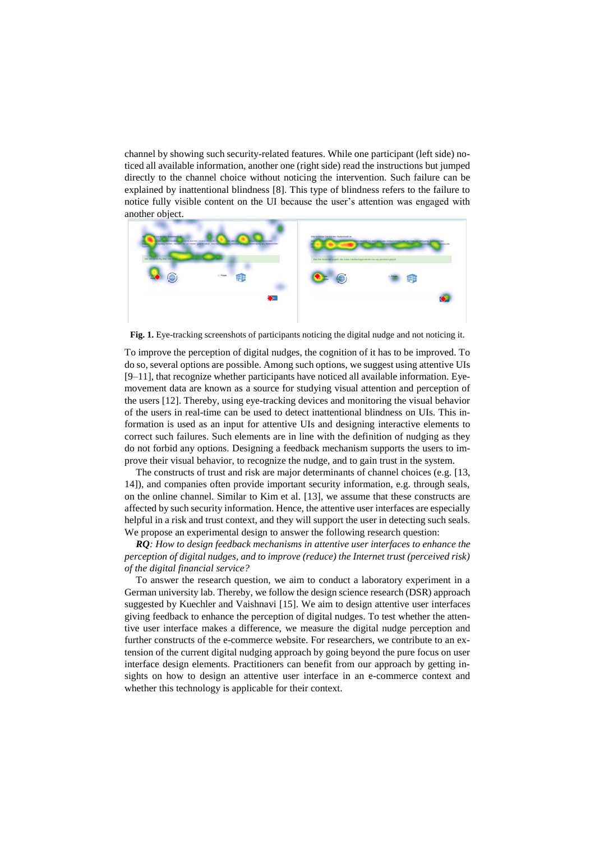channel by showing such security-related features. While one participant (left side) noticed all available information, another one (right side) read the instructions but jumped directly to the channel choice without noticing the intervention. Such failure can be explained by inattentional blindness [8]. This type of blindness refers to the failure to notice fully visible content on the UI because the user's attention was engaged with another object.



**Fig. 1.** Eye-tracking screenshots of participants noticing the digital nudge and not noticing it.

To improve the perception of digital nudges, the cognition of it has to be improved. To do so, several options are possible. Among such options, we suggest using attentive UIs [9–11], that recognize whether participants have noticed all available information. Eyemovement data are known as a source for studying visual attention and perception of the users [12]. Thereby, using eye-tracking devices and monitoring the visual behavior of the users in real-time can be used to detect inattentional blindness on UIs. This information is used as an input for attentive UIs and designing interactive elements to correct such failures. Such elements are in line with the definition of nudging as they do not forbid any options. Designing a feedback mechanism supports the users to improve their visual behavior, to recognize the nudge, and to gain trust in the system.

The constructs of trust and risk are major determinants of channel choices (e.g. [13, 14]), and companies often provide important security information, e.g. through seals, on the online channel. Similar to Kim et al. [13], we assume that these constructs are affected by such security information. Hence, the attentive user interfaces are especially helpful in a risk and trust context, and they will support the user in detecting such seals. We propose an experimental design to answer the following research question:

*RQ: How to design feedback mechanisms in attentive user interfaces to enhance the perception of digital nudges, and to improve (reduce) the Internet trust (perceived risk) of the digital financial service?*

To answer the research question, we aim to conduct a laboratory experiment in a German university lab. Thereby, we follow the design science research (DSR) approach suggested by Kuechler and Vaishnavi [15]. We aim to design attentive user interfaces giving feedback to enhance the perception of digital nudges. To test whether the attentive user interface makes a difference, we measure the digital nudge perception and further constructs of the e-commerce website. For researchers, we contribute to an extension of the current digital nudging approach by going beyond the pure focus on user interface design elements. Practitioners can benefit from our approach by getting insights on how to design an attentive user interface in an e-commerce context and whether this technology is applicable for their context.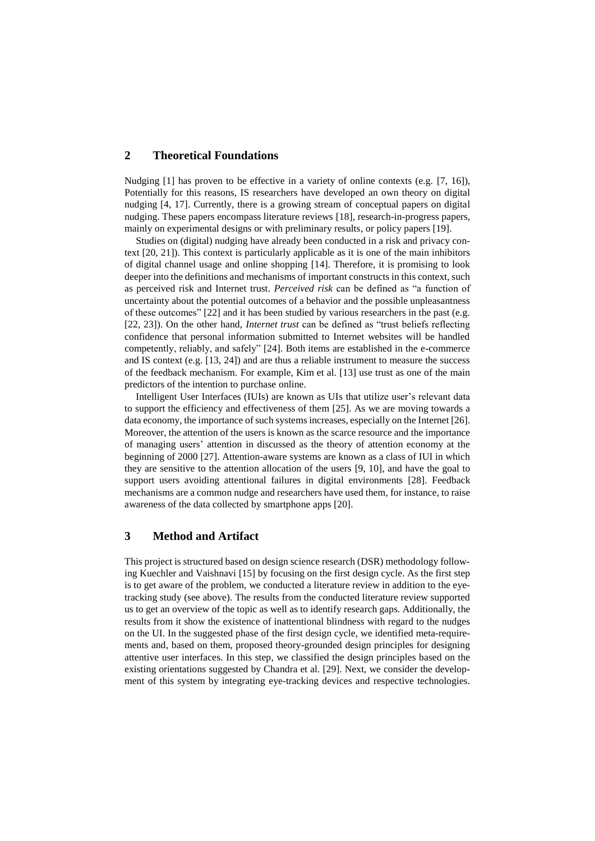#### **2 Theoretical Foundations**

Nudging [1] has proven to be effective in a variety of online contexts (e.g. [7, 16]), Potentially for this reasons, IS researchers have developed an own theory on digital nudging [4, 17]. Currently, there is a growing stream of conceptual papers on digital nudging. These papers encompass literature reviews [18], research-in-progress papers, mainly on experimental designs or with preliminary results, or policy papers [19].

Studies on (digital) nudging have already been conducted in a risk and privacy context [20, 21]). This context is particularly applicable as it is one of the main inhibitors of digital channel usage and online shopping [14]. Therefore, it is promising to look deeper into the definitions and mechanisms of important constructs in this context, such as perceived risk and Internet trust. *Perceived risk* can be defined as "a function of uncertainty about the potential outcomes of a behavior and the possible unpleasantness of these outcomes" [22] and it has been studied by various researchers in the past (e.g. [22, 23]). On the other hand, *Internet trust* can be defined as "trust beliefs reflecting confidence that personal information submitted to Internet websites will be handled competently, reliably, and safely" [24]. Both items are established in the e-commerce and IS context (e.g. [13, 24]) and are thus a reliable instrument to measure the success of the feedback mechanism. For example, Kim et al. [13] use trust as one of the main predictors of the intention to purchase online.

Intelligent User Interfaces (IUIs) are known as UIs that utilize user's relevant data to support the efficiency and effectiveness of them [25]. As we are moving towards a data economy, the importance of such systems increases, especially on the Internet [26]. Moreover, the attention of the users is known as the scarce resource and the importance of managing users' attention in discussed as the theory of attention economy at the beginning of 2000 [27]. Attention-aware systems are known as a class of IUI in which they are sensitive to the attention allocation of the users [9, 10], and have the goal to support users avoiding attentional failures in digital environments [28]. Feedback mechanisms are a common nudge and researchers have used them, for instance, to raise awareness of the data collected by smartphone apps [20].

#### **3 Method and Artifact**

This project is structured based on design science research (DSR) methodology following Kuechler and Vaishnavi [15] by focusing on the first design cycle. As the first step is to get aware of the problem, we conducted a literature review in addition to the eyetracking study (see above). The results from the conducted literature review supported us to get an overview of the topic as well as to identify research gaps. Additionally, the results from it show the existence of inattentional blindness with regard to the nudges on the UI. In the suggested phase of the first design cycle, we identified meta-requirements and, based on them, proposed theory-grounded design principles for designing attentive user interfaces. In this step, we classified the design principles based on the existing orientations suggested by Chandra et al. [29]. Next, we consider the development of this system by integrating eye-tracking devices and respective technologies.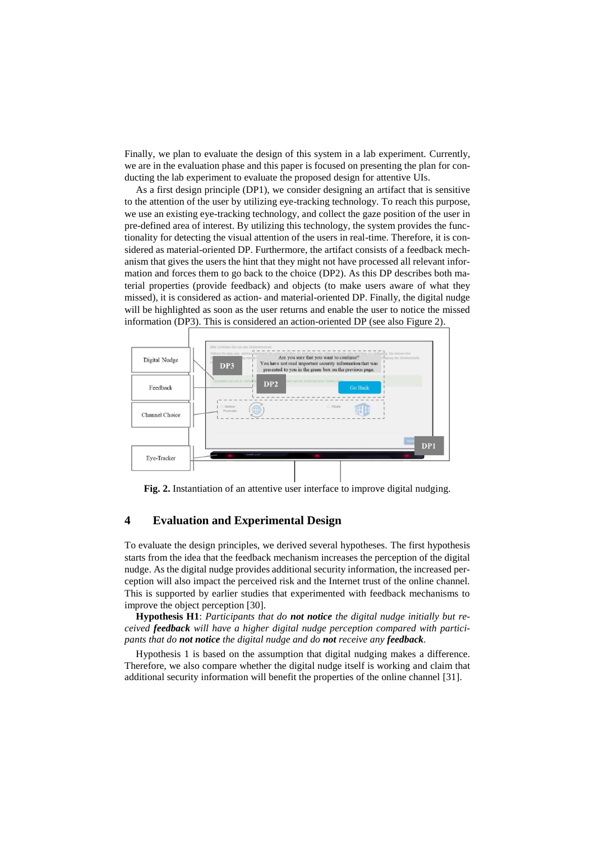Finally, we plan to evaluate the design of this system in a lab experiment. Currently, we are in the evaluation phase and this paper is focused on presenting the plan for conducting the lab experiment to evaluate the proposed design for attentive UIs.

As a first design principle (DP1), we consider designing an artifact that is sensitive to the attention of the user by utilizing eye-tracking technology. To reach this purpose, we use an existing eye-tracking technology, and collect the gaze position of the user in pre-defined area of interest. By utilizing this technology, the system provides the functionality for detecting the visual attention of the users in real-time. Therefore, it is considered as material-oriented DP. Furthermore, the artifact consists of a feedback mechanism that gives the users the hint that they might not have processed all relevant information and forces them to go back to the choice (DP2). As this DP describes both material properties (provide feedback) and objects (to make users aware of what they missed), it is considered as action- and material-oriented DP. Finally, the digital nudge will be highlighted as soon as the user returns and enable the user to notice the missed information (DP3). This is considered an action-oriented DP (see also Figure 2).



**Fig. 2.** Instantiation of an attentive user interface to improve digital nudging.

## **4 Evaluation and Experimental Design**

To evaluate the design principles, we derived several hypotheses. The first hypothesis starts from the idea that the feedback mechanism increases the perception of the digital nudge. As the digital nudge provides additional security information, the increased perception will also impact the perceived risk and the Internet trust of the online channel. This is supported by earlier studies that experimented with feedback mechanisms to improve the object perception [30].

**Hypothesis H1**: *Participants that do not notice the digital nudge initially but received feedback will have a higher digital nudge perception compared with participants that do not notice the digital nudge and do not receive any feedback.*

Hypothesis 1 is based on the assumption that digital nudging makes a difference. Therefore, we also compare whether the digital nudge itself is working and claim that additional security information will benefit the properties of the online channel [31].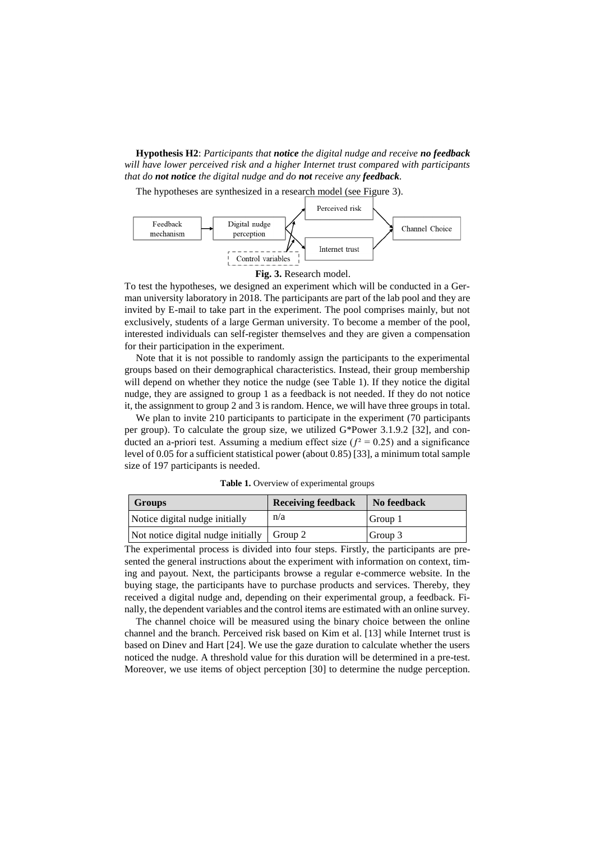**Hypothesis H2**: *Participants that notice the digital nudge and receive no feedback will have lower perceived risk and a higher Internet trust compared with participants that do not notice the digital nudge and do not receive any feedback.*

The hypotheses are synthesized in a research model (see Figure 3).





To test the hypotheses, we designed an experiment which will be conducted in a German university laboratory in 2018. The participants are part of the lab pool and they are invited by E-mail to take part in the experiment. The pool comprises mainly, but not exclusively, students of a large German university. To become a member of the pool, interested individuals can self-register themselves and they are given a compensation for their participation in the experiment.

Note that it is not possible to randomly assign the participants to the experimental groups based on their demographical characteristics. Instead, their group membership will depend on whether they notice the nudge (see Table 1). If they notice the digital nudge, they are assigned to group 1 as a feedback is not needed. If they do not notice it, the assignment to group 2 and 3 is random. Hence, we will have three groups in total.

We plan to invite 210 participants to participate in the experiment (70 participants per group). To calculate the group size, we utilized G\*Power 3.1.9.2 [32], and conducted an a-priori test. Assuming a medium effect size ( $f^2 = 0.25$ ) and a significance level of 0.05 for a sufficient statistical power (about 0.85) [33], a minimum total sample size of 197 participants is needed.

| <b>Groups</b>                      | <b>Receiving feedback</b>        | No feedback |
|------------------------------------|----------------------------------|-------------|
| Notice digital nudge initially     | n/a                              | Group 1     |
| Not notice digital nudge initially | $\overline{\phantom{a}}$ Group 2 | Group 3     |

**Table 1.** Overview of experimental groups

The experimental process is divided into four steps. Firstly, the participants are presented the general instructions about the experiment with information on context, timing and payout. Next, the participants browse a regular e-commerce website. In the buying stage, the participants have to purchase products and services. Thereby, they received a digital nudge and, depending on their experimental group, a feedback. Finally, the dependent variables and the control items are estimated with an online survey.

The channel choice will be measured using the binary choice between the online channel and the branch. Perceived risk based on Kim et al. [13] while Internet trust is based on Dinev and Hart [24]. We use the gaze duration to calculate whether the users noticed the nudge. A threshold value for this duration will be determined in a pre-test. Moreover, we use items of object perception [30] to determine the nudge perception.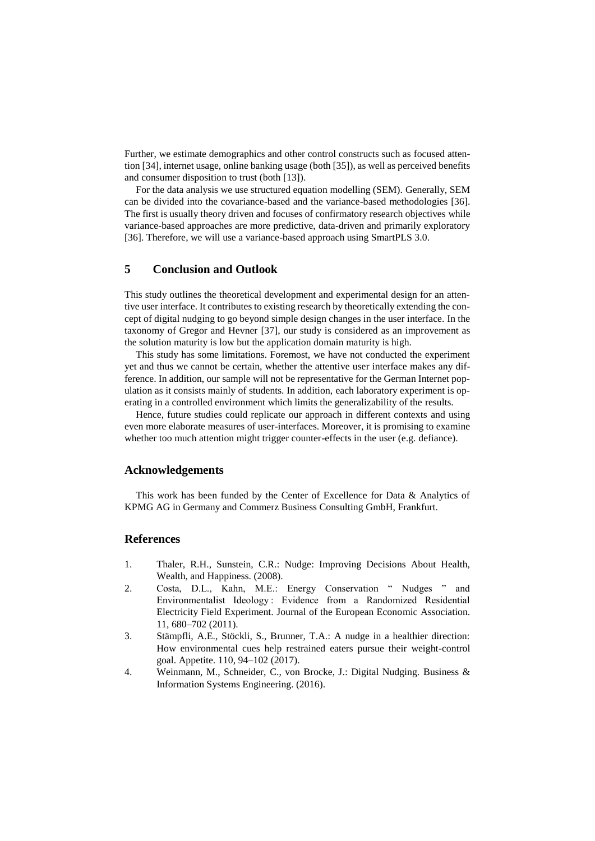Further, we estimate demographics and other control constructs such as focused attention [34], internet usage, online banking usage (both [35]), as well as perceived benefits and consumer disposition to trust (both [13]).

For the data analysis we use structured equation modelling (SEM). Generally, SEM can be divided into the covariance-based and the variance-based methodologies [36]. The first is usually theory driven and focuses of confirmatory research objectives while variance-based approaches are more predictive, data-driven and primarily exploratory [36]. Therefore, we will use a variance-based approach using SmartPLS 3.0.

### **5 Conclusion and Outlook**

This study outlines the theoretical development and experimental design for an attentive user interface. It contributes to existing research by theoretically extending the concept of digital nudging to go beyond simple design changes in the user interface. In the taxonomy of Gregor and Hevner [37], our study is considered as an improvement as the solution maturity is low but the application domain maturity is high.

This study has some limitations. Foremost, we have not conducted the experiment yet and thus we cannot be certain, whether the attentive user interface makes any difference. In addition, our sample will not be representative for the German Internet population as it consists mainly of students. In addition, each laboratory experiment is operating in a controlled environment which limits the generalizability of the results.

Hence, future studies could replicate our approach in different contexts and using even more elaborate measures of user-interfaces. Moreover, it is promising to examine whether too much attention might trigger counter-effects in the user (e.g. defiance).

#### **Acknowledgements**

This work has been funded by the Center of Excellence for Data & Analytics of KPMG AG in Germany and Commerz Business Consulting GmbH, Frankfurt.

#### **References**

- 1. Thaler, R.H., Sunstein, C.R.: Nudge: Improving Decisions About Health, Wealth, and Happiness. (2008).
- 2. Costa, D.L., Kahn, M.E.: Energy Conservation " Nudges " and Environmentalist Ideology : Evidence from a Randomized Residential Electricity Field Experiment. Journal of the European Economic Association. 11, 680–702 (2011).
- 3. Stämpfli, A.E., Stöckli, S., Brunner, T.A.: A nudge in a healthier direction: How environmental cues help restrained eaters pursue their weight-control goal. Appetite. 110, 94–102 (2017).
- 4. Weinmann, M., Schneider, C., von Brocke, J.: Digital Nudging. Business & Information Systems Engineering. (2016).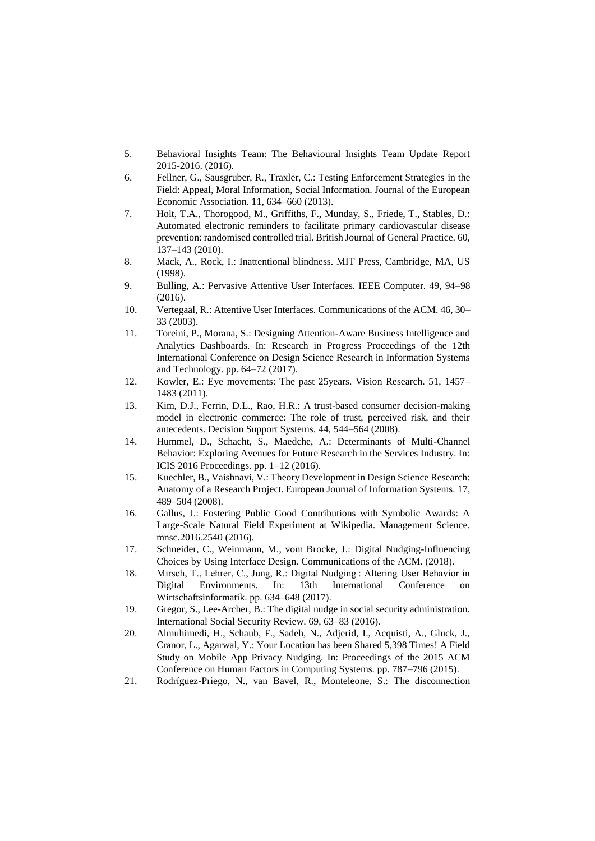- 5. Behavioral Insights Team: The Behavioural Insights Team Update Report 2015-2016. (2016).
- 6. Fellner, G., Sausgruber, R., Traxler, C.: Testing Enforcement Strategies in the Field: Appeal, Moral Information, Social Information. Journal of the European Economic Association. 11, 634–660 (2013).
- 7. Holt, T.A., Thorogood, M., Griffiths, F., Munday, S., Friede, T., Stables, D.: Automated electronic reminders to facilitate primary cardiovascular disease prevention: randomised controlled trial. British Journal of General Practice. 60, 137–143 (2010).
- 8. Mack, A., Rock, I.: Inattentional blindness. MIT Press, Cambridge, MA, US (1998).
- 9. Bulling, A.: Pervasive Attentive User Interfaces. IEEE Computer. 49, 94–98 (2016).
- 10. Vertegaal, R.: Attentive User Interfaces. Communications of the ACM. 46, 30– 33 (2003).
- 11. Toreini, P., Morana, S.: Designing Attention-Aware Business Intelligence and Analytics Dashboards. In: Research in Progress Proceedings of the 12th International Conference on Design Science Research in Information Systems and Technology. pp. 64–72 (2017).
- 12. Kowler, E.: Eye movements: The past 25years. Vision Research. 51, 1457– 1483 (2011).
- 13. Kim, D.J., Ferrin, D.L., Rao, H.R.: A trust-based consumer decision-making model in electronic commerce: The role of trust, perceived risk, and their antecedents. Decision Support Systems. 44, 544–564 (2008).
- 14. Hummel, D., Schacht, S., Maedche, A.: Determinants of Multi-Channel Behavior: Exploring Avenues for Future Research in the Services Industry. In: ICIS 2016 Proceedings. pp. 1–12 (2016).
- 15. Kuechler, B., Vaishnavi, V.: Theory Development in Design Science Research: Anatomy of a Research Project. European Journal of Information Systems. 17, 489–504 (2008).
- 16. Gallus, J.: Fostering Public Good Contributions with Symbolic Awards: A Large-Scale Natural Field Experiment at Wikipedia. Management Science. mnsc.2016.2540 (2016).
- 17. Schneider, C., Weinmann, M., vom Brocke, J.: Digital Nudging-Influencing Choices by Using Interface Design. Communications of the ACM. (2018).
- 18. Mirsch, T., Lehrer, C., Jung, R.: Digital Nudging : Altering User Behavior in Digital Environments. In: 13th International Conference on Wirtschaftsinformatik. pp. 634–648 (2017).
- 19. Gregor, S., Lee-Archer, B.: The digital nudge in social security administration. International Social Security Review. 69, 63–83 (2016).
- 20. Almuhimedi, H., Schaub, F., Sadeh, N., Adjerid, I., Acquisti, A., Gluck, J., Cranor, L., Agarwal, Y.: Your Location has been Shared 5,398 Times! A Field Study on Mobile App Privacy Nudging. In: Proceedings of the 2015 ACM Conference on Human Factors in Computing Systems. pp. 787–796 (2015).
- 21. Rodríguez-Priego, N., van Bavel, R., Monteleone, S.: The disconnection